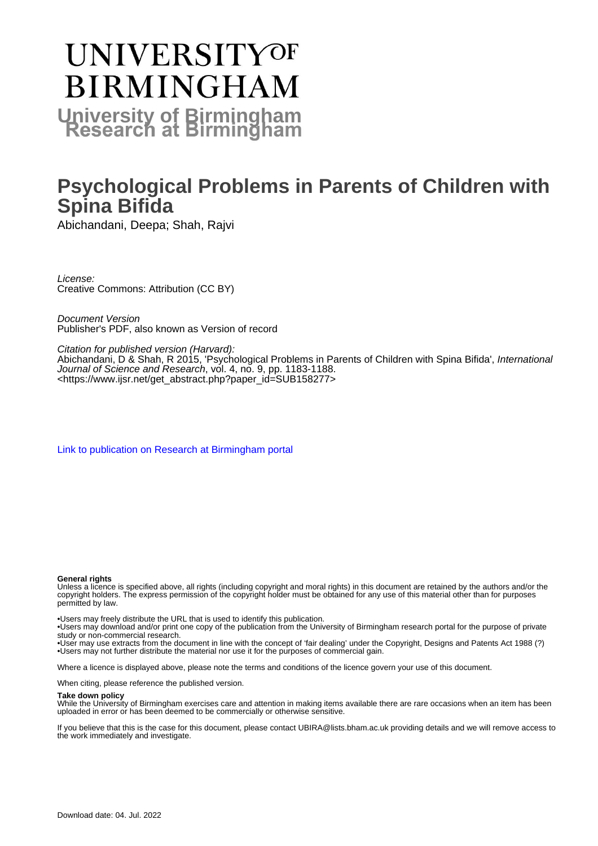# **UNIVERSITYOF BIRMINGHAM University of Birmingham**

### **Psychological Problems in Parents of Children with Spina Bifida**

Abichandani, Deepa; Shah, Rajvi

License: Creative Commons: Attribution (CC BY)

Document Version Publisher's PDF, also known as Version of record

#### Citation for published version (Harvard):

Abichandani, D & Shah, R 2015, 'Psychological Problems in Parents of Children with Spina Bifida', International Journal of Science and Research, vol. 4, no. 9, pp. 1183-1188. <[https://www.ijsr.net/get\\_abstract.php?paper\\_id=SUB158277](https://www.ijsr.net/get_abstract.php?paper_id=SUB158277)>

[Link to publication on Research at Birmingham portal](https://birmingham.elsevierpure.com/en/publications/daf19a41-aa5c-4f3f-af3f-f445cdd89fd7)

#### **General rights**

Unless a licence is specified above, all rights (including copyright and moral rights) in this document are retained by the authors and/or the copyright holders. The express permission of the copyright holder must be obtained for any use of this material other than for purposes permitted by law.

• Users may freely distribute the URL that is used to identify this publication.

• Users may download and/or print one copy of the publication from the University of Birmingham research portal for the purpose of private study or non-commercial research.

• User may use extracts from the document in line with the concept of 'fair dealing' under the Copyright, Designs and Patents Act 1988 (?) • Users may not further distribute the material nor use it for the purposes of commercial gain.

Where a licence is displayed above, please note the terms and conditions of the licence govern your use of this document.

When citing, please reference the published version.

#### **Take down policy**

While the University of Birmingham exercises care and attention in making items available there are rare occasions when an item has been uploaded in error or has been deemed to be commercially or otherwise sensitive.

If you believe that this is the case for this document, please contact UBIRA@lists.bham.ac.uk providing details and we will remove access to the work immediately and investigate.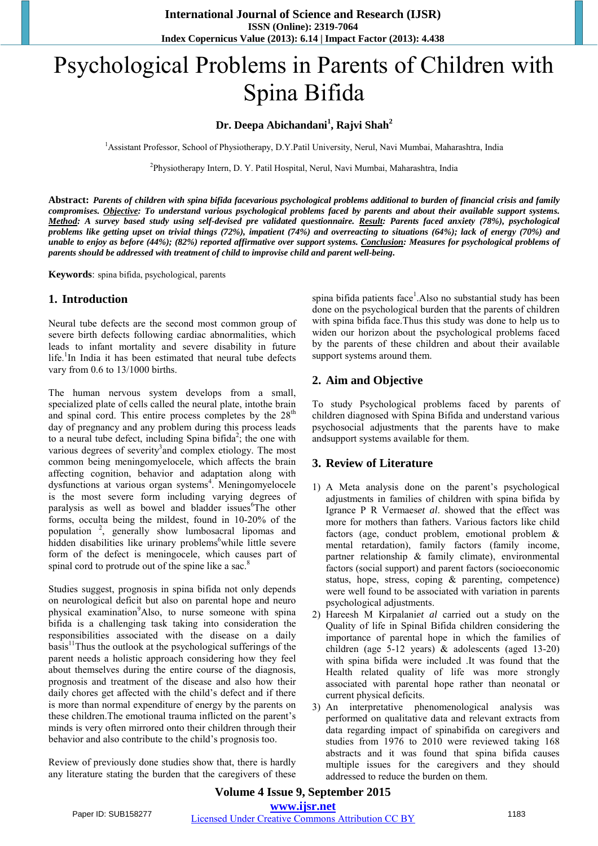## Psychological Problems in Parents of Children with Spina Bifida

#### **Dr. Deepa Abichandani<sup>1</sup> , Rajvi Shah<sup>2</sup>**

<sup>1</sup>Assistant Professor, School of Physiotherapy, D.Y.Patil University, Nerul, Navi Mumbai, Maharashtra, India

2 Physiotherapy Intern, D. Y. Patil Hospital, Nerul, Navi Mumbai, Maharashtra, India

**Abstract:** *Parents of children with spina bifida facevarious psychological problems additional to burden of financial crisis and family compromises. Objective: To understand various psychological problems faced by parents and about their available support systems. Method: A survey based study using self-devised pre validated questionnaire. Result: Parents faced anxiety (78%), psychological problems like getting upset on trivial things (72%), impatient (74%) and overreacting to situations (64%); lack of energy (70%) and unable to enjoy as before (44%); (82%) reported affirmative over support systems. Conclusion: Measures for psychological problems of parents should be addressed with treatment of child to improvise child and parent well-being***.**

**Keywords**: spina bifida, psychological, parents

#### **1. Introduction**

Neural tube defects are the second most common group of severe birth defects following cardiac abnormalities, which leads to infant mortality and severe disability in future life.<sup>1</sup>In India it has been estimated that neural tube defects vary from 0.6 to 13/1000 births.

The human nervous system develops from a small, specialized plate of cells called the neural plate, intothe brain and spinal cord. This entire process completes by the 28<sup>th</sup> day of pregnancy and any problem during this process leads to a neural tube defect, including Spina bifida<sup>2</sup>; the one with various degrees of severity<sup>3</sup> and complex etiology. The most common being meningomyelocele, which affects the brain affecting cognition, behavior and adaptation along with dysfunctions at various organ systems<sup>4</sup>. Meningomyelocele is the most severe form including varying degrees of paralysis as well as bowel and bladder issues<sup>6</sup>The other forms, occulta being the mildest, found in 10-20% of the population <sup>2</sup> , generally show lumbosacral lipomas and hidden disabilities like urinary problems<sup>6</sup>while little severe form of the defect is meningocele, which causes part of spinal cord to protrude out of the spine like a sac.<sup>8</sup>

Studies suggest, prognosis in spina bifida not only depends on neurological deficit but also on parental hope and neuro physical examination<sup>9</sup>Also, to nurse someone with spina bifida is a challenging task taking into consideration the responsibilities associated with the disease on a daily basis<sup>11</sup>Thus the outlook at the psychological sufferings of the parent needs a holistic approach considering how they feel about themselves during the entire course of the diagnosis, prognosis and treatment of the disease and also how their daily chores get affected with the child's defect and if there is more than normal expenditure of energy by the parents on these children.The emotional trauma inflicted on the parent's minds is very often mirrored onto their children through their behavior and also contribute to the child's prognosis too.

Review of previously done studies show that, there is hardly any literature stating the burden that the caregivers of these

spina bifida patients face<sup>1</sup>. Also no substantial study has been done on the psychological burden that the parents of children with spina bifida face.Thus this study was done to help us to widen our horizon about the psychological problems faced by the parents of these children and about their available support systems around them.

#### **2. Aim and Objective**

To study Psychological problems faced by parents of children diagnosed with Spina Bifida and understand various psychosocial adjustments that the parents have to make andsupport systems available for them.

#### **3. Review of Literature**

- 1) A Meta analysis done on the parent's psychological adjustments in families of children with spina bifida by Igrance P R Vermaes*et al*. showed that the effect was more for mothers than fathers. Various factors like child factors (age, conduct problem, emotional problem & mental retardation), family factors (family income, partner relationship & family climate), environmental factors (social support) and parent factors (socioeconomic status, hope, stress, coping & parenting, competence) were well found to be associated with variation in parents psychological adjustments.
- 2) Hareesh M Kirpalani*et al* carried out a study on the Quality of life in Spinal Bifida children considering the importance of parental hope in which the families of children (age 5-12 years) & adolescents (aged 13-20) with spina bifida were included .It was found that the Health related quality of life was more strongly associated with parental hope rather than neonatal or current physical deficits.
- 3) An interpretative phenomenological analysis was performed on qualitative data and relevant extracts from data regarding impact of spinabifida on caregivers and studies from 1976 to 2010 were reviewed taking 168 abstracts and it was found that spina bifida causes multiple issues for the caregivers and they should addressed to reduce the burden on them.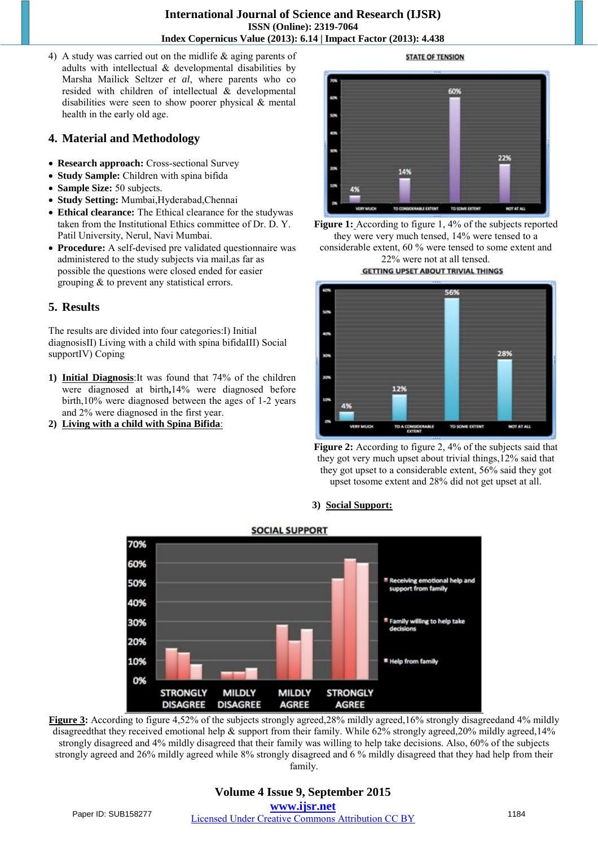**International Journal of Science and Research (IJSR) ISSN (Online): 2319-7064 Index Copernicus Value (2013): 6.14 | Impact Factor (2013): 4.438** 

4) A study was carried out on the midlife & aging parents of adults with intellectual & developmental disabilities by Marsha Mailick Seltzer *et al*, where parents who co resided with children of intellectual & developmental disabilities were seen to show poorer physical & mental health in the early old age.

#### **4. Material and Methodology**

- **Research approach:** Cross-sectional Survey
- **Study Sample:** Children with spina bifida
- Sample Size: 50 subjects.
- **Study Setting:** Mumbai,Hyderabad,Chennai
- **Ethical clearance:** The Ethical clearance for the studywas taken from the Institutional Ethics committee of Dr. D. Y. Patil University, Nerul, Navi Mumbai.
- **Procedure:** A self-devised pre validated questionnaire was administered to the study subjects via mail,as far as possible the questions were closed ended for easier grouping & to prevent any statistical errors.

#### **5. Results**

The results are divided into four categories:I) Initial diagnosisII) Living with a child with spina bifidaIII) Social supportIV) Coping

- **1) Initial Diagnosis**:It was found that 74% of the children were diagnosed at birth**,**14% were diagnosed before birth,10% were diagnosed between the ages of 1-2 years and 2% were diagnosed in the first year.
- **2) Living with a child with Spina Bifida**:

**STATE OF TENSION** 









#### **3) Social Support:**



Figure 3: According to figure 4,52% of the subjects strongly agreed,28% mildly agreed,16% strongly disagreedand 4% mildly disagreedthat they received emotional help & support from their family. While 62% strongly agreed,20% mildly agreed,14% strongly disagreed and 4% mildly disagreed that their family was willing to help take decisions. Also, 60% of the subjects strongly agreed and 26% mildly agreed while 8% strongly disagreed and 6 % mildly disagreed that they had help from their family.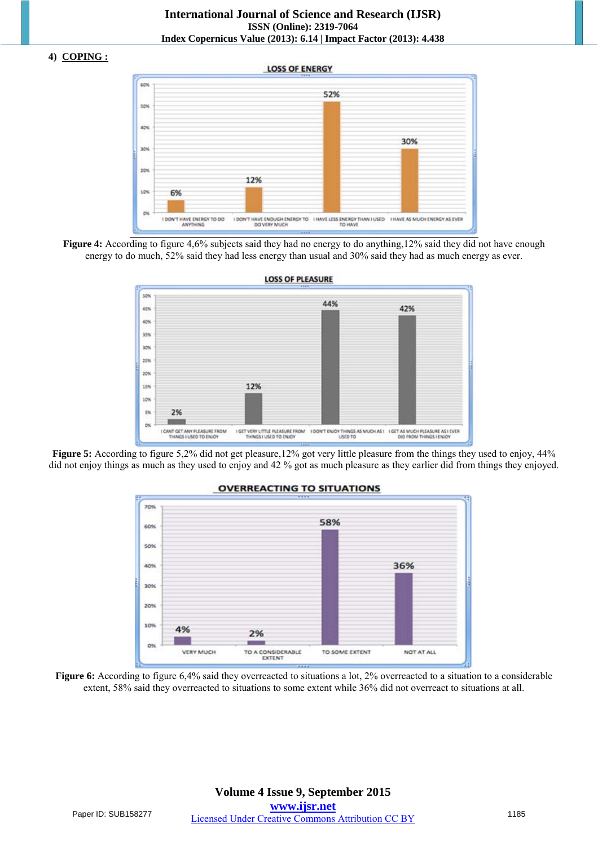#### **4) COPING :**







**Figure 5:** According to figure 5,2% did not get pleasure,12% got very little pleasure from the things they used to enjoy, 44% did not enjoy things as much as they used to enjoy and 42 % got as much pleasure as they earlier did from things they enjoyed.



#### **OVERREACTING TO SITUATIONS**

**Figure 6:** According to figure 6,4% said they overreacted to situations a lot, 2% overreacted to a situation to a considerable extent, 58% said they overreacted to situations to some extent while 36% did not overreact to situations at all.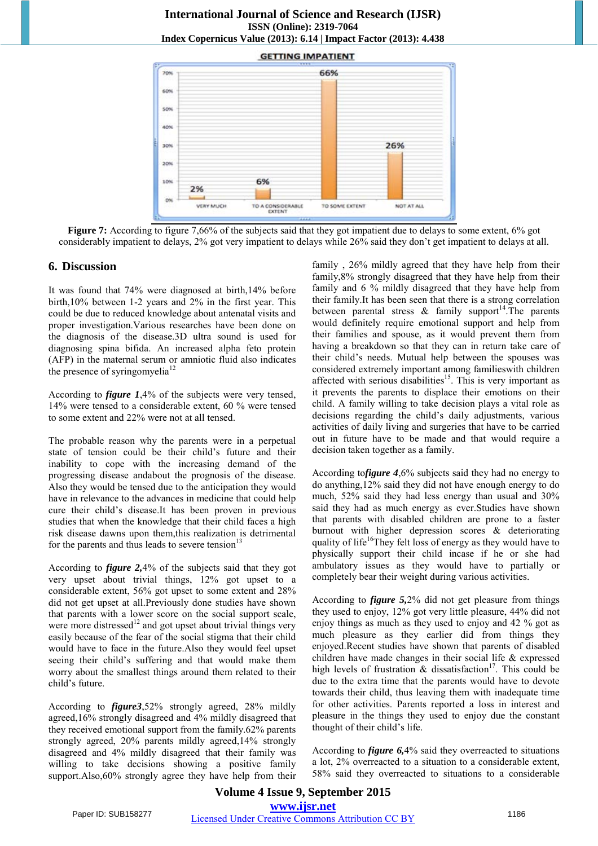

**Figure 7:** According to figure 7,66% of the subjects said that they got impatient due to delays to some extent, 6% got considerably impatient to delays, 2% got very impatient to delays while 26% said they don't get impatient to delays at all.

#### **6. Discussion**

It was found that 74% were diagnosed at birth,14% before birth,10% between 1-2 years and 2% in the first year. This could be due to reduced knowledge about antenatal visits and proper investigation.Various researches have been done on the diagnosis of the disease.3D ultra sound is used for diagnosing spina bifida. An increased alpha feto protein (AFP) in the maternal serum or amniotic fluid also indicates the presence of syringomyelia<sup>12</sup>

According to *figure 1*,4% of the subjects were very tensed, 14% were tensed to a considerable extent, 60 % were tensed to some extent and 22% were not at all tensed.

The probable reason why the parents were in a perpetual state of tension could be their child's future and their inability to cope with the increasing demand of the progressing disease andabout the prognosis of the disease. Also they would be tensed due to the anticipation they would have in relevance to the advances in medicine that could help cure their child's disease.It has been proven in previous studies that when the knowledge that their child faces a high risk disease dawns upon them,this realization is detrimental for the parents and thus leads to severe tension $13$ 

According to *figure 2,*4% of the subjects said that they got very upset about trivial things, 12% got upset to a considerable extent, 56% got upset to some extent and 28% did not get upset at all.Previously done studies have shown that parents with a lower score on the social support scale, were more distressed<sup>12</sup> and got upset about trivial things very easily because of the fear of the social stigma that their child would have to face in the future.Also they would feel upset seeing their child's suffering and that would make them worry about the smallest things around them related to their child's future.

According to *figure3*,52% strongly agreed, 28% mildly agreed,16% strongly disagreed and 4% mildly disagreed that they received emotional support from the family.62% parents strongly agreed, 20% parents mildly agreed,14% strongly disagreed and 4% mildly disagreed that their family was willing to take decisions showing a positive family support.Also,60% strongly agree they have help from their

family , 26% mildly agreed that they have help from their family,8% strongly disagreed that they have help from their family and 6 % mildly disagreed that they have help from their family.It has been seen that there is a strong correlation between parental stress  $\&$  family support<sup>14</sup>. The parents would definitely require emotional support and help from their families and spouse, as it would prevent them from having a breakdown so that they can in return take care of their child's needs. Mutual help between the spouses was considered extremely important among familieswith children affected with serious disabilities<sup>15</sup>. This is very important as it prevents the parents to displace their emotions on their child. A family willing to take decision plays a vital role as decisions regarding the child's daily adjustments, various activities of daily living and surgeries that have to be carried out in future have to be made and that would require a decision taken together as a family.

According to*figure 4*,6% subjects said they had no energy to do anything,12% said they did not have enough energy to do much, 52% said they had less energy than usual and 30% said they had as much energy as ever.Studies have shown that parents with disabled children are prone to a faster burnout with higher depression scores & deteriorating quality of life<sup>16</sup>They felt loss of energy as they would have to physically support their child incase if he or she had ambulatory issues as they would have to partially or completely bear their weight during various activities.

According to *figure 5,*2% did not get pleasure from things they used to enjoy, 12% got very little pleasure, 44% did not enjoy things as much as they used to enjoy and 42 % got as much pleasure as they earlier did from things they enjoyed.Recent studies have shown that parents of disabled children have made changes in their social life & expressed high levels of frustration  $\&$  dissatisfaction<sup>17</sup>. This could be due to the extra time that the parents would have to devote towards their child, thus leaving them with inadequate time for other activities. Parents reported a loss in interest and pleasure in the things they used to enjoy due the constant thought of their child's life.

According to *figure 6,*4% said they overreacted to situations a lot, 2% overreacted to a situation to a considerable extent, 58% said they overreacted to situations to a considerable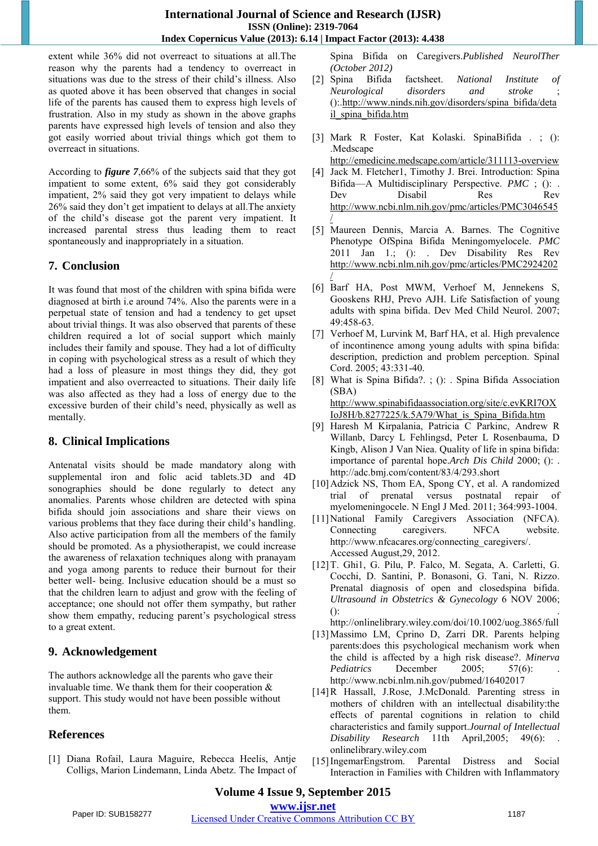extent while 36% did not overreact to situations at all.The reason why the parents had a tendency to overreact in situations was due to the stress of their child's illness. Also as quoted above it has been observed that changes in social life of the parents has caused them to express high levels of frustration. Also in my study as shown in the above graphs parents have expressed high levels of tension and also they got easily worried about trivial things which got them to overreact in situations.

According to *figure 7*,66% of the subjects said that they got impatient to some extent, 6% said they got considerably impatient, 2% said they got very impatient to delays while 26% said they don't get impatient to delays at all.The anxiety of the child's disease got the parent very impatient. It increased parental stress thus leading them to react spontaneously and inappropriately in a situation.

#### **7. Conclusion**

It was found that most of the children with spina bifida were diagnosed at birth i.e around 74%. Also the parents were in a perpetual state of tension and had a tendency to get upset about trivial things. It was also observed that parents of these children required a lot of social support which mainly includes their family and spouse. They had a lot of difficulty in coping with psychological stress as a result of which they had a loss of pleasure in most things they did, they got impatient and also overreacted to situations. Their daily life was also affected as they had a loss of energy due to the excessive burden of their child's need, physically as well as mentally.

#### **8. Clinical Implications**

Antenatal visits should be made mandatory along with supplemental iron and folic acid tablets.3D and 4D sonographies should be done regularly to detect any anomalies. Parents whose children are detected with spina bifida should join associations and share their views on various problems that they face during their child's handling. Also active participation from all the members of the family should be promoted. As a physiotherapist, we could increase the awareness of relaxation techniques along with pranayam and yoga among parents to reduce their burnout for their better well- being. Inclusive education should be a must so that the children learn to adjust and grow with the feeling of acceptance; one should not offer them sympathy, but rather show them empathy, reducing parent's psychological stress to a great extent.

#### **9. Acknowledgement**

The authors acknowledge all the parents who gave their invaluable time. We thank them for their cooperation & support. This study would not have been possible without them.

#### **References**

[1] Diana Rofail, Laura Maguire, Rebecca Heelis, Antje Colligs, Marion Lindemann, Linda Abetz. The Impact of Spina Bifida on Caregivers.*Published NeurolTher (October 2012)*

- [2] Spina Bifida factsheet. *National Institute of Neurological disorders and stroke* ; ()[:.http://www.ninds.nih.gov/disorders/spina\\_bifida/deta](http://www.ninds.nih.gov/disorders/spina_bifida/detail_spina_bifida.htm) [il\\_spina\\_bifida.htm](http://www.ninds.nih.gov/disorders/spina_bifida/detail_spina_bifida.htm)
- [3] Mark R Foster, Kat Kolaski. SpinaBifida . ; (): .Medscape
	- <http://emedicine.medscape.com/article/311113-overview>
- [4] Jack M. Fletcher1, Timothy J. Brei. Introduction: Spina Bifida—A Multidisciplinary Perspective. *PMC* ; (): . Dev Disabil Res Rev [http://www.ncbi.nlm.nih.gov/pmc/articles/PMC3046545](http://www.ncbi.nlm.nih.gov/pmc/articles/PMC3046545/) [/](http://www.ncbi.nlm.nih.gov/pmc/articles/PMC3046545/)
- [5] Maureen Dennis, Marcia A. Barnes. The Cognitive Phenotype OfSpina Bifida Meningomyelocele. *PMC* 2011 Jan 1.; (): . Dev Disability Res Rev [http://www.ncbi.nlm.nih.gov/pmc/articles/PMC2924202](http://www.ncbi.nlm.nih.gov/pmc/articles/PMC2924202/) [/](http://www.ncbi.nlm.nih.gov/pmc/articles/PMC2924202/)
- [6] Barf HA, Post MWM, Verhoef M, Jennekens S, Gooskens RHJ, Prevo AJH. Life Satisfaction of young adults with spina bifida. Dev Med Child Neurol. 2007; 49:458-63.
- [7] Verhoef M, Lurvink M, Barf HA, et al. High prevalence of incontinence among young adults with spina bifida: description, prediction and problem perception. Spinal Cord. 2005; 43:331-40.
- [8] What is Spina Bifida?. ; (): . Spina Bifida Association (SBA) [http://www.spinabifidaassociation.org/site/c.evKRI7OX](http://www.spinabifidaassociation.org/site/c.evKRI7OXIoJ8H/b.8277225/k.5A79/What_is_Spina_Bifida.htm) [IoJ8H/b.8277225/k.5A79/What\\_is\\_Spina\\_Bifida.htm](http://www.spinabifidaassociation.org/site/c.evKRI7OXIoJ8H/b.8277225/k.5A79/What_is_Spina_Bifida.htm)
- [9] Haresh M Kirpalania, Patricia C Parkinc, Andrew R Willanb, Darcy L Fehlingsd, Peter L Rosenbauma, D Kingb, Alison J Van Niea. Quality of life in spina bifida: importance of parental hope.*Arch Dis Child* 2000; (): . http://adc.bmj.com/content/83/4/293.short
- [10] Adzick NS, Thom EA, Spong CY, et al. A randomized trial of prenatal versus postnatal repair of myelomeningocele. N Engl J Med. 2011; 364:993-1004.
- [11]National Family Caregivers Association (NFCA). Connecting caregivers. NFCA website. http://www.nfcacares.org/connecting\_caregivers/. Accessed August,29, 2012.
- [12]T. Ghi1, G. Pilu, P. Falco, M. Segata, A. Carletti, G. Cocchi, D. Santini, P. Bonasoni, G. Tani, N. Rizzo. Prenatal diagnosis of open and closedspina bifida. *Ultrasound in Obstetrics & Gynecology* 6 NOV 2006;  $()$ :

http://onlinelibrary.wiley.com/doi/10.1002/uog.3865/full

- [13]Massimo LM, Cprino D, Zarri DR. Parents helping parents:does this psychological mechanism work when the child is affected by a high risk disease?. *Minerva Pediatrics* December 2005; 57(6): http://www.ncbi.nlm.nih.gov/pubmed/16402017
- [14]R Hassall, J.Rose, J.McDonald. Parenting stress in mothers of children with an intellectual disability:the effects of parental cognitions in relation to child characteristics and family support.*Journal of Intellectual Disability Research* 11th April,2005; 49(6): . onlinelibrary.wiley.com
- [15]IngemarEngstrom. Parental Distress and Social Interaction in Families with Children with Inflammatory